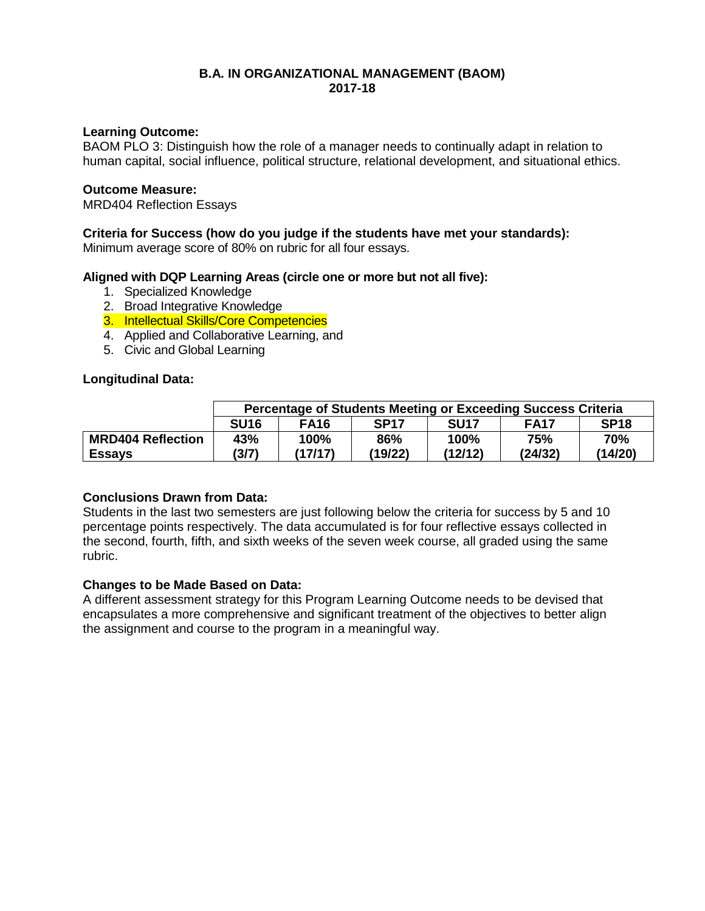## **B.A. IN ORGANIZATIONAL MANAGEMENT (BAOM) 2017-18**

## **Learning Outcome:**

BAOM PLO 3: Distinguish how the role of a manager needs to continually adapt in relation to human capital, social influence, political structure, relational development, and situational ethics.

## **Outcome Measure:**

MRD404 Reflection Essays

## **Criteria for Success (how do you judge if the students have met your standards):**

Minimum average score of 80% on rubric for all four essays.

## **Aligned with DQP Learning Areas (circle one or more but not all five):**

- 1. Specialized Knowledge
- 2. Broad Integrative Knowledge
- 3. Intellectual Skills/Core Competencies
- 4. Applied and Collaborative Learning, and
- 5. Civic and Global Learning

#### **Longitudinal Data:**

|                          | Percentage of Students Meeting or Exceeding Success Criteria |             |             |             |             |             |
|--------------------------|--------------------------------------------------------------|-------------|-------------|-------------|-------------|-------------|
|                          | <b>SU16</b>                                                  | <b>FA16</b> | <b>SP17</b> | <b>SU17</b> | <b>FA17</b> | <b>SP18</b> |
| <b>MRD404 Reflection</b> | 43%                                                          | 100%        | 86%         | 100%        | 75%         | 70%         |
| <b>Essays</b>            | (3/7)                                                        | (17/17)     | (19/22)     | (12/12)     | (24/32)     | (14/20)     |

## **Conclusions Drawn from Data:**

Students in the last two semesters are just following below the criteria for success by 5 and 10 percentage points respectively. The data accumulated is for four reflective essays collected in the second, fourth, fifth, and sixth weeks of the seven week course, all graded using the same rubric.

## **Changes to be Made Based on Data:**

A different assessment strategy for this Program Learning Outcome needs to be devised that encapsulates a more comprehensive and significant treatment of the objectives to better align the assignment and course to the program in a meaningful way.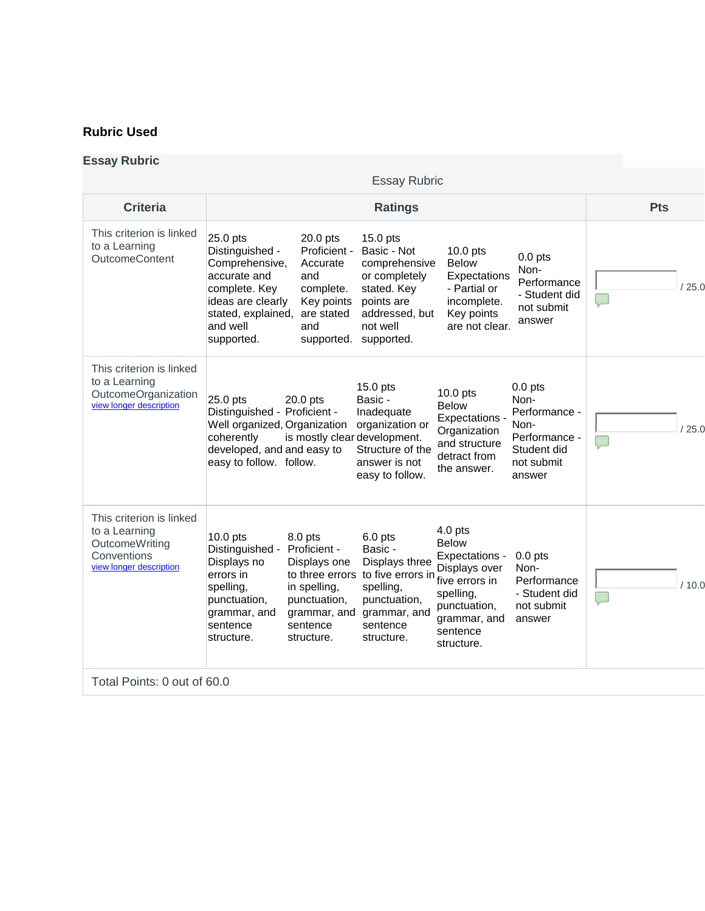## **Rubric Used**

## **Essay Rubric**

|                                                                                                       |                                                                                                                                                     |                                                                                                                                      | <b>Essay Rubric</b>                                                                                                                             |                                                                                                                                     |                                                                                                    |            |       |
|-------------------------------------------------------------------------------------------------------|-----------------------------------------------------------------------------------------------------------------------------------------------------|--------------------------------------------------------------------------------------------------------------------------------------|-------------------------------------------------------------------------------------------------------------------------------------------------|-------------------------------------------------------------------------------------------------------------------------------------|----------------------------------------------------------------------------------------------------|------------|-------|
| <b>Criteria</b>                                                                                       |                                                                                                                                                     |                                                                                                                                      | <b>Ratings</b>                                                                                                                                  |                                                                                                                                     |                                                                                                    | <b>Pts</b> |       |
| This criterion is linked<br>to a Learning<br>OutcomeContent                                           | 25.0 pts<br>Distinguished -<br>Comprehensive,<br>accurate and<br>complete. Key<br>ideas are clearly<br>stated, explained,<br>and well<br>supported. | 20.0 pts<br>Proficient -<br>Accurate<br>and<br>complete.<br>Key points<br>are stated<br>and<br>supported.                            | $15.0$ pts<br>Basic - Not<br>comprehensive<br>or completely<br>stated. Key<br>points are<br>addressed, but<br>not well<br>supported.            | $10.0$ pts<br><b>Below</b><br>Expectations<br>- Partial or<br>incomplete.<br>Key points<br>are not clear.                           | $0.0$ pts<br>Non-<br>Performance<br>- Student did<br>not submit<br>answer                          |            | '25.0 |
| This criterion is linked<br>to a Learning<br>OutcomeOrganization<br>view longer description           | 25.0 pts<br>Distinguished - Proficient -<br>Well organized, Organization<br>coherently<br>developed, and and easy to<br>easy to follow. follow.     | $20.0$ pts<br>is mostly clear development.                                                                                           | 15.0 pts<br>Basic -<br>Inadequate<br>organization or<br>Structure of the<br>answer is not<br>easy to follow.                                    | $10.0$ pts<br><b>Below</b><br>Expectations -<br>Organization<br>and structure<br>detract from<br>the answer.                        | $0.0$ pts<br>Non-<br>Performance -<br>Non-<br>Performance -<br>Student did<br>not submit<br>answer |            | 25.0  |
| This criterion is linked<br>to a Learning<br>OutcomeWriting<br>Conventions<br>view longer description | $10.0$ pts<br>Distinguished -<br>Displays no<br>errors in<br>spelling,<br>punctuation,<br>grammar, and<br>sentence<br>structure.                    | 8.0 pts<br>Proficient -<br>Displays one<br>to three errors<br>in spelling,<br>punctuation,<br>grammar, and<br>sentence<br>structure. | 6.0 pts<br>Basic -<br>Displays three<br>to five errors in five errors in<br>spelling,<br>punctuation,<br>grammar, and<br>sentence<br>structure. | $4.0$ pts<br><b>Below</b><br>Expectations -<br>Displays over<br>spelling,<br>punctuation,<br>grammar, and<br>sentence<br>structure. | $0.0$ pts<br>Non-<br>Performance<br>- Student did<br>not submit<br>answer                          |            | 10.0  |
| Total Points: 0 out of 60.0                                                                           |                                                                                                                                                     |                                                                                                                                      |                                                                                                                                                 |                                                                                                                                     |                                                                                                    |            |       |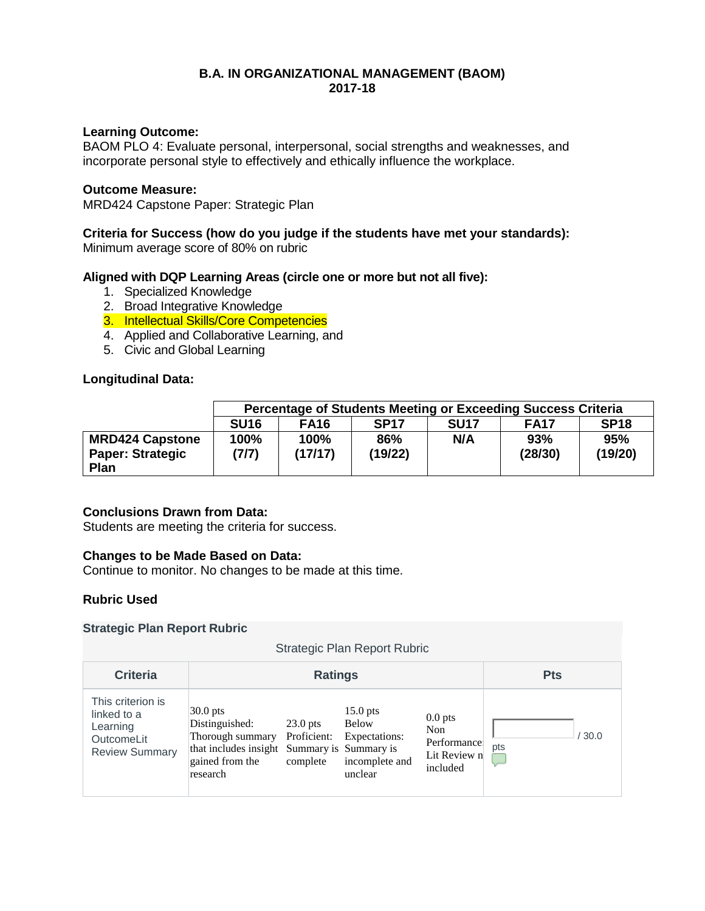## **B.A. IN ORGANIZATIONAL MANAGEMENT (BAOM) 2017-18**

## **Learning Outcome:**

BAOM PLO 4: Evaluate personal, interpersonal, social strengths and weaknesses, and incorporate personal style to effectively and ethically influence the workplace.

## **Outcome Measure:**

MRD424 Capstone Paper: Strategic Plan

# **Criteria for Success (how do you judge if the students have met your standards):**

Minimum average score of 80% on rubric

## **Aligned with DQP Learning Areas (circle one or more but not all five):**

- 1. Specialized Knowledge
- 2. Broad Integrative Knowledge
- 3. Intellectual Skills/Core Competencies
- 4. Applied and Collaborative Learning, and
- 5. Civic and Global Learning

## **Longitudinal Data:**

|                                                           | Percentage of Students Meeting or Exceeding Success Criteria |                 |                  |             |                |                |
|-----------------------------------------------------------|--------------------------------------------------------------|-----------------|------------------|-------------|----------------|----------------|
|                                                           | <b>SU16</b>                                                  | <b>FA16</b>     | SP <sub>17</sub> | <b>SU17</b> | <b>FA17</b>    | <b>SP18</b>    |
| <b>MRD424 Capstone</b><br><b>Paper: Strategic</b><br>Plan | 100%<br>(7/7)                                                | 100%<br>(17/17) | 86%<br>(19/22)   | N/A         | 93%<br>(28/30) | 95%<br>(19/20) |

## **Conclusions Drawn from Data:**

Students are meeting the criteria for success.

## **Changes to be Made Based on Data:**

Continue to monitor. No changes to be made at this time.

## **Rubric Used**

#### **Strategic Plan Report Rubric**

| A alcuno i la medici a abilio<br>Strategic Plan Report Rubric                              |                                                                                                                                |                                       |                                                                   |                                                             |              |  |
|--------------------------------------------------------------------------------------------|--------------------------------------------------------------------------------------------------------------------------------|---------------------------------------|-------------------------------------------------------------------|-------------------------------------------------------------|--------------|--|
| <b>Criteria</b>                                                                            |                                                                                                                                | <b>Ratings</b>                        |                                                                   |                                                             | <b>Pts</b>   |  |
| This criterion is<br>linked to a<br>Learning<br><b>OutcomeLit</b><br><b>Review Summary</b> | $30.0$ pts<br>Distinguished:<br>Thorough summary<br>that includes insight Summary is Summary is<br>gained from the<br>research | $23.0$ pts<br>Proficient:<br>complete | $15.0$ pts<br>Below<br>Expectations:<br>incomplete and<br>unclear | $0.0$ pts<br>Non<br>Performance<br>Lit Review n<br>included | /30.0<br>pts |  |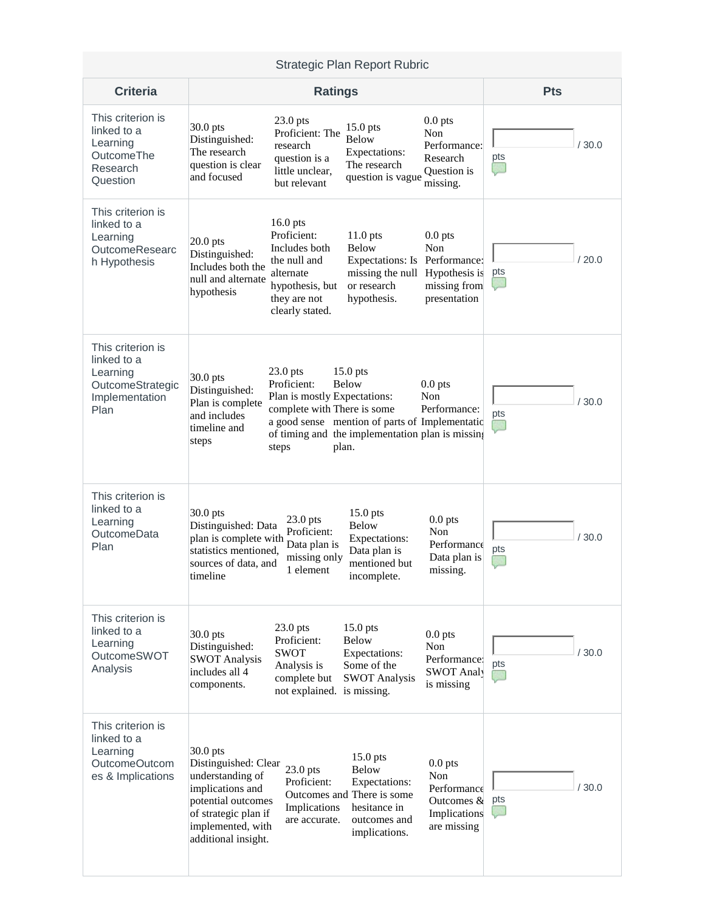| <b>Strategic Plan Report Rubric</b>                                                        |                                                                                                                                                                                                                                                                                                                                                                                                                                               |            |  |  |  |
|--------------------------------------------------------------------------------------------|-----------------------------------------------------------------------------------------------------------------------------------------------------------------------------------------------------------------------------------------------------------------------------------------------------------------------------------------------------------------------------------------------------------------------------------------------|------------|--|--|--|
| <b>Criteria</b>                                                                            | <b>Ratings</b>                                                                                                                                                                                                                                                                                                                                                                                                                                | <b>Pts</b> |  |  |  |
| This criterion is<br>linked to a<br>Learning<br>OutcomeThe<br>Research<br>Question         | $0.0$ pts<br>$23.0$ pts<br>30.0 pts<br>15.0 pts<br>Proficient: The<br>Non<br><b>Below</b><br>Distinguished:<br>research<br>Performance:<br>The research<br>Expectations:<br>Research<br>pts<br>question is a<br>question is clear<br>The research<br>C<br>little unclear,<br>Question is<br>and focused<br>question is vague<br>but relevant<br>missing.                                                                                      | /30.0      |  |  |  |
| This criterion is<br>linked to a<br>Learning<br>OutcomeResearc<br>h Hypothesis             | $16.0$ pts<br>Proficient:<br>$0.0$ pts<br>$11.0$ pts<br>$20.0$ pts<br>Below<br>Non<br>Includes both<br>Distinguished:<br>Expectations: Is Performance:<br>the null and<br>Includes both the<br>pts<br>missing the null Hypothesis is<br>alternate<br>null and alternate<br>hypothesis, but<br>or research<br>missing from<br>hypothesis<br>hypothesis.<br>presentation<br>they are not<br>clearly stated.                                     | /20.0      |  |  |  |
| This criterion is<br>linked to a<br>Learning<br>OutcomeStrategic<br>Implementation<br>Plan | 23.0 pts<br>$15.0$ pts<br>30.0 pts<br>Proficient:<br><b>Below</b><br>$0.0$ pts<br>Distinguished:<br>Plan is mostly Expectations:<br>Non<br>Plan is complete<br>complete with There is some<br>Performance:<br>pts<br>and includes<br>a good sense mention of parts of Implementatic<br>timeline and<br>of timing and the implementation plan is missing<br>steps<br>steps<br>plan.                                                            | /30.0      |  |  |  |
| This criterion is<br>linked to a<br>Learning<br><b>OutcomeData</b><br>Plan                 | 30.0 pts<br>$15.0$ pts<br>$0.0$ pts<br>23.0 pts<br><b>Below</b><br>Distinguished: Data<br>Proficient:<br>Non<br>plan is complete with<br>Expectations:<br>Data plan is<br>Performance<br>pts<br>statistics mentioned,<br>Data plan is<br>missing only<br>Data plan is<br>sources of data, and<br>mentioned but<br>1 element<br>missing.<br>timeline<br>incomplete.                                                                            | /30.0      |  |  |  |
| This criterion is<br>linked to a<br>Learning<br>OutcomeSWOT<br>Analysis                    | 23.0 pts<br>15.0 pts<br>$0.0$ pts<br>$30.0$ pts<br>Proficient:<br><b>Below</b><br>Distinguished:<br>Non<br><b>SWOT</b><br>Expectations:<br>Performance:<br><b>SWOT Analysis</b><br>pts<br>Some of the<br>Analysis is<br>includes all 4<br><b>SWOT Analy</b><br><b>SWOT Analysis</b><br>complete but<br>is missing<br>components.<br>not explained. is missing.                                                                                | /30.0      |  |  |  |
| This criterion is<br>linked to a<br>Learning<br>OutcomeOutcom<br>es & Implications         | 30.0 pts<br>15.0 pts<br>Distinguished: Clear<br>$0.0$ pts<br>23.0 pts<br>Below<br>understanding of<br>Non<br>Proficient:<br>Expectations:<br>Performance<br>implications and<br>Outcomes and There is some<br>pts<br>potential outcomes<br>Outcomes $\&$<br>Implications<br>hesitance in<br>of strategic plan if<br>Implications<br>outcomes and<br>are accurate.<br>implemented, with<br>are missing<br>implications.<br>additional insight. | /30.0      |  |  |  |